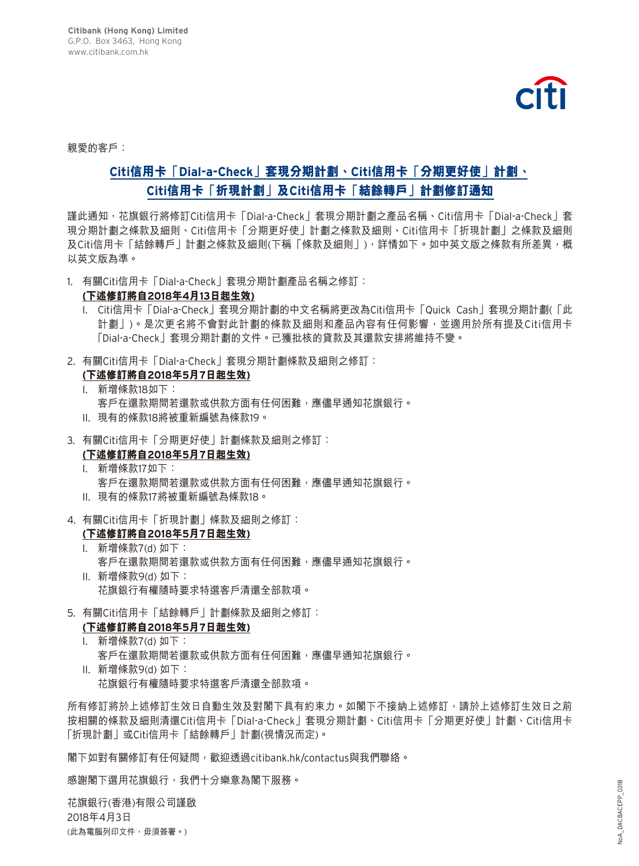

親愛的客戶:

# **Citi信用卡「Dial-a-Check」套現分期計劃、Citi信用卡「分期更好使」計劃、 Citi信用卡「折現計劃」及Citi信用卡「結餘轉戶」計劃修訂通知**

謹此通知,花旗銀行將修訂Citi信用卡「Dial-a-Check」套現分期計劃之產品名稱、Citi信用卡「Dial-a-Check」套 現分期計劃之條款及細則、Citi信用卡「分期更好使」計劃之條款及細則、Citi信用卡「折現計劃」之條款及細則 及Citi信用卡「結餘轉戶」計劃之條款及細則(下稱「條款及細則丨),詳情如下。如中英文版之條款有所差異,概 以英文版為準。

1. 有關Citi信用卡「Dial-a-Check」套現分期計劃產品名稱之修訂:

#### **(下述修訂將自2018年4月13日起生效)**

- I. Citi信用卡「Dial-a-Check」套現分期計劃的中文名稱將更改為Citi信用卡「Quick Cash」套現分期計劃(「此 計劃」)。是次更名將不會對此計劃的條款及細則和產品內容有任何影響,並適用於所有提及Citi信用卡 「Dial-a-Check」套現分期計劃的文件。已獲批核的貸款及其還款安排將維持不變。
- 2. 有關Citi信用卡「Dial-a-Check」套現分期計劃條款及細則之修訂:
	- **(下述修訂將自2018年5月7日起生效)**
	- I. 新增條款18如下: 客戶在還款期間若還款或供款方面有任何困難,應儘早通知花旗銀行。
	- II. 現有的條款18將被重新編號為條款19。
- 3. 有關Citi信用卡「分期更好使」計劃條款及細則之修訂:

### **(下述修訂將自2018年5月7日起生效)**

- I. 新增條款17如下: 客戶在還款期間若還款或供款方面有任何困難,應儘早通知花旗銀行。
- II. 現有的條款17將被重新編號為條款18。
- 4. 有關Citi信用卡「折現計劃」條款及細則之修訂:

## **(下述修訂將自2018年5月7日起生效)**

- I. 新增條款7(d) 如下: 客戶在還款期間若還款或供款方面有任何困難,應儘早通知花旗銀行。
- II. 新增條款9(d) 如下: 花旗銀行有權隨時要求特選客戶清還全部款項。
- 5. 有關Citi信用卡「結餘轉戶」計劃條款及細則之修訂:
	- **(下述修訂將自2018年5月7日起生效)**
	- I. 新增條款7(d) 如下: 客戶在還款期間若還款或供款方面有任何困難,應儘早通知花旗銀行。 II. 新增條款9(d) 如下:
		- 花旗銀行有權隨時要求特選客戶清還全部款項。

所有修訂將於上述修訂生效日自動生效及對閣下具有約束力。如閣下不接納上述修訂,請於上述修訂生效日之前 按相關的條款及細則清還Citi信用卡「Dial-a-Check」套現分期計劃、Citi信用卡「分期更好使」計劃、Citi信用卡 「折現計劃」或Citi信用卡「結餘轉戶」計劃(視情況而定)。

閣下如對有關修訂有任何疑問,歡迎透過citibank.hk/contactus與我們聯絡。

感謝閣下選用花旗銀行,我們十分樂意為閣下服務。